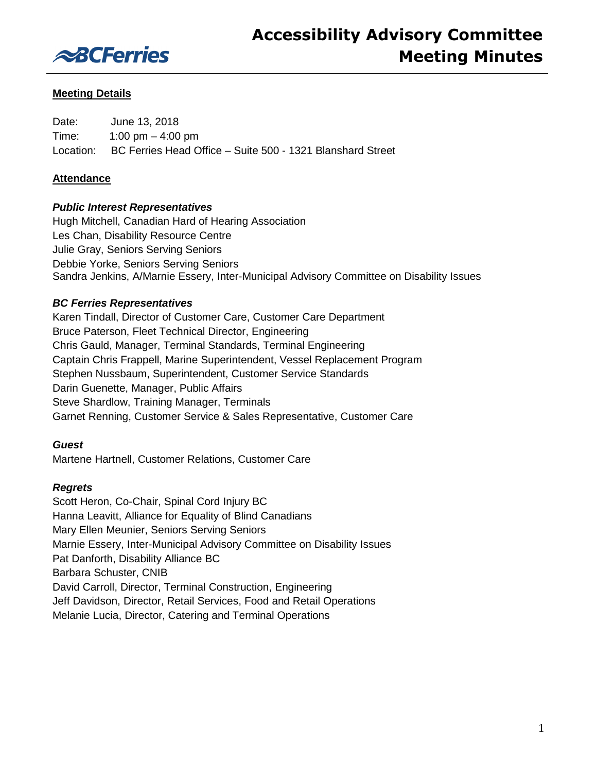

## **Meeting Details**

Date: June 13, 2018 Time: 1:00 pm – 4:00 pm Location: BC Ferries Head Office – Suite 500 - 1321 Blanshard Street

## **Attendance**

## *Public Interest Representatives*

Hugh Mitchell, Canadian Hard of Hearing Association Les Chan, Disability Resource Centre Julie Gray, Seniors Serving Seniors Debbie Yorke, Seniors Serving Seniors Sandra Jenkins, A/Marnie Essery, Inter-Municipal Advisory Committee on Disability Issues

## *BC Ferries Representatives*

Karen Tindall, Director of Customer Care, Customer Care Department Bruce Paterson, Fleet Technical Director, Engineering Chris Gauld, Manager, Terminal Standards, Terminal Engineering Captain Chris Frappell, Marine Superintendent, Vessel Replacement Program Stephen Nussbaum, Superintendent, Customer Service Standards Darin Guenette, Manager, Public Affairs Steve Shardlow, Training Manager, Terminals Garnet Renning, Customer Service & Sales Representative, Customer Care

## *Guest*

Martene Hartnell, Customer Relations, Customer Care

## *Regrets*

Scott Heron, Co-Chair, Spinal Cord Injury BC Hanna Leavitt, Alliance for Equality of Blind Canadians Mary Ellen Meunier, Seniors Serving Seniors Marnie Essery, Inter-Municipal Advisory Committee on Disability Issues Pat Danforth, Disability Alliance BC Barbara Schuster, CNIB David Carroll, Director, Terminal Construction, Engineering Jeff Davidson, Director, Retail Services, Food and Retail Operations Melanie Lucia, Director, Catering and Terminal Operations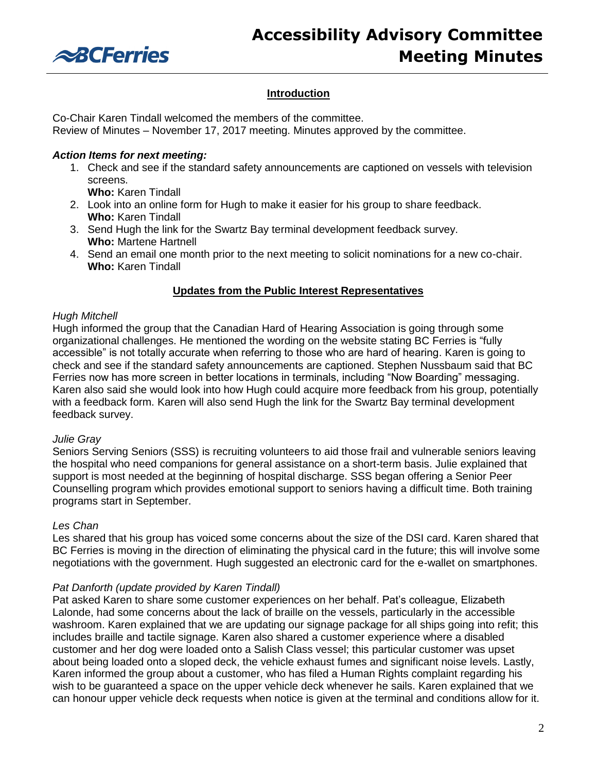

# **Introduction**

Co-Chair Karen Tindall welcomed the members of the committee.

Review of Minutes – November 17, 2017 meeting. Minutes approved by the committee.

## *Action Items for next meeting:*

1. Check and see if the standard safety announcements are captioned on vessels with television screens.

**Who:** Karen Tindall

- 2. Look into an online form for Hugh to make it easier for his group to share feedback. **Who:** Karen Tindall
- 3. Send Hugh the link for the Swartz Bay terminal development feedback survey. **Who:** Martene Hartnell
- 4. Send an email one month prior to the next meeting to solicit nominations for a new co-chair. **Who:** Karen Tindall

## **Updates from the Public Interest Representatives**

## *Hugh Mitchell*

Hugh informed the group that the Canadian Hard of Hearing Association is going through some organizational challenges. He mentioned the wording on the website stating BC Ferries is "fully accessible" is not totally accurate when referring to those who are hard of hearing. Karen is going to check and see if the standard safety announcements are captioned. Stephen Nussbaum said that BC Ferries now has more screen in better locations in terminals, including "Now Boarding" messaging. Karen also said she would look into how Hugh could acquire more feedback from his group, potentially with a feedback form. Karen will also send Hugh the link for the Swartz Bay terminal development feedback survey.

## *Julie Gray*

Seniors Serving Seniors (SSS) is recruiting volunteers to aid those frail and vulnerable seniors leaving the hospital who need companions for general assistance on a short-term basis. Julie explained that support is most needed at the beginning of hospital discharge. SSS began offering a Senior Peer Counselling program which provides emotional support to seniors having a difficult time. Both training programs start in September.

## *Les Chan*

Les shared that his group has voiced some concerns about the size of the DSI card. Karen shared that BC Ferries is moving in the direction of eliminating the physical card in the future; this will involve some negotiations with the government. Hugh suggested an electronic card for the e-wallet on smartphones.

## *Pat Danforth (update provided by Karen Tindall)*

Pat asked Karen to share some customer experiences on her behalf. Pat's colleague, Elizabeth Lalonde, had some concerns about the lack of braille on the vessels, particularly in the accessible washroom. Karen explained that we are updating our signage package for all ships going into refit; this includes braille and tactile signage. Karen also shared a customer experience where a disabled customer and her dog were loaded onto a Salish Class vessel; this particular customer was upset about being loaded onto a sloped deck, the vehicle exhaust fumes and significant noise levels. Lastly, Karen informed the group about a customer, who has filed a Human Rights complaint regarding his wish to be guaranteed a space on the upper vehicle deck whenever he sails. Karen explained that we can honour upper vehicle deck requests when notice is given at the terminal and conditions allow for it.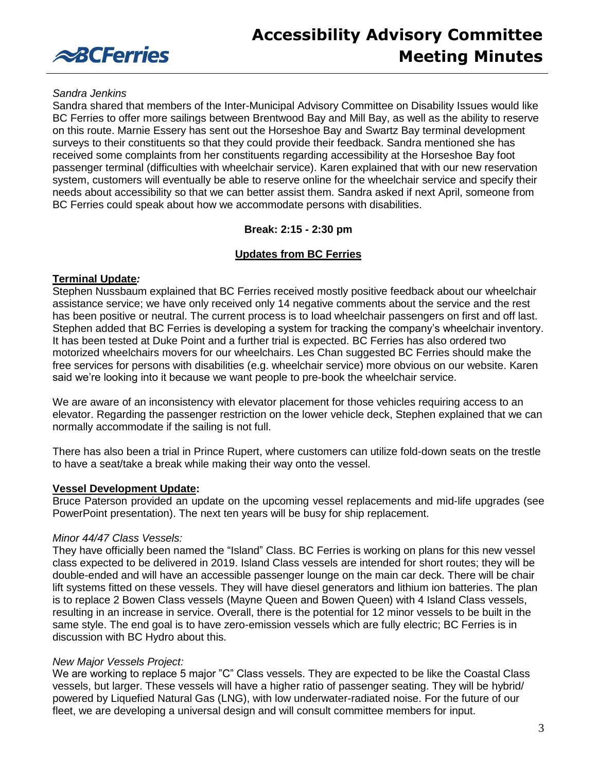

# **Accessibility Advisory Committee Meeting Minutes**

#### *Sandra Jenkins*

Sandra shared that members of the Inter-Municipal Advisory Committee on Disability Issues would like BC Ferries to offer more sailings between Brentwood Bay and Mill Bay, as well as the ability to reserve on this route. Marnie Essery has sent out the Horseshoe Bay and Swartz Bay terminal development surveys to their constituents so that they could provide their feedback. Sandra mentioned she has received some complaints from her constituents regarding accessibility at the Horseshoe Bay foot passenger terminal (difficulties with wheelchair service). Karen explained that with our new reservation system, customers will eventually be able to reserve online for the wheelchair service and specify their needs about accessibility so that we can better assist them. Sandra asked if next April, someone from BC Ferries could speak about how we accommodate persons with disabilities.

## **Break: 2:15 - 2:30 pm**

## **Updates from BC Ferries**

## **Terminal Update***:*

Stephen Nussbaum explained that BC Ferries received mostly positive feedback about our wheelchair assistance service; we have only received only 14 negative comments about the service and the rest has been positive or neutral. The current process is to load wheelchair passengers on first and off last. Stephen added that BC Ferries is developing a system for tracking the company's wheelchair inventory. It has been tested at Duke Point and a further trial is expected. BC Ferries has also ordered two motorized wheelchairs movers for our wheelchairs. Les Chan suggested BC Ferries should make the free services for persons with disabilities (e.g. wheelchair service) more obvious on our website. Karen said we're looking into it because we want people to pre-book the wheelchair service.

We are aware of an inconsistency with elevator placement for those vehicles requiring access to an elevator. Regarding the passenger restriction on the lower vehicle deck, Stephen explained that we can normally accommodate if the sailing is not full.

There has also been a trial in Prince Rupert, where customers can utilize fold-down seats on the trestle to have a seat/take a break while making their way onto the vessel.

## **Vessel Development Update:**

Bruce Paterson provided an update on the upcoming vessel replacements and mid-life upgrades (see PowerPoint presentation). The next ten years will be busy for ship replacement.

## *Minor 44/47 Class Vessels:*

They have officially been named the "Island" Class. BC Ferries is working on plans for this new vessel class expected to be delivered in 2019. Island Class vessels are intended for short routes; they will be double-ended and will have an accessible passenger lounge on the main car deck. There will be chair lift systems fitted on these vessels. They will have diesel generators and lithium ion batteries. The plan is to replace 2 Bowen Class vessels (Mayne Queen and Bowen Queen) with 4 Island Class vessels, resulting in an increase in service. Overall, there is the potential for 12 minor vessels to be built in the same style. The end goal is to have zero-emission vessels which are fully electric; BC Ferries is in discussion with BC Hydro about this.

## *New Major Vessels Project:*

We are working to replace 5 major "C" Class vessels. They are expected to be like the Coastal Class vessels, but larger. These vessels will have a higher ratio of passenger seating. They will be hybrid/ powered by Liquefied Natural Gas (LNG), with low underwater-radiated noise. For the future of our fleet, we are developing a universal design and will consult committee members for input.